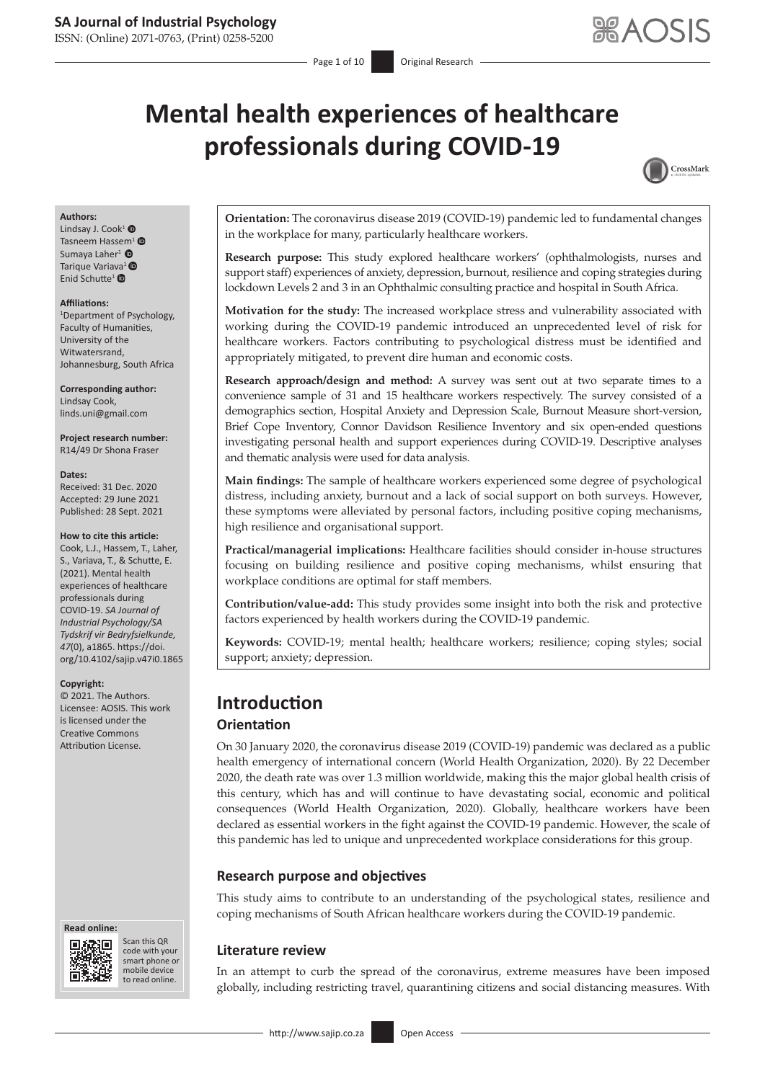# **Mental health experiences of healthcare professionals during COVID-19**



#### **Authors:**

Lindsay J. Cook<sup>[1](https://orcid.org/0000-0003-3800-8350)</sup> $\bullet$ Tasneem Hassem<sup>[1](https://orcid.org/0000-0003-1449-0090)</sup> SumayaLaher<sup>1</sup>  $\bullet$ Tarique Variava<sup>[1](https://orcid.org/0000-0003-2365-6208)</sup><sup>®</sup> Enid Schutte<sup>[1](https://orcid.org/0000-0002-6653-5409)</sup> $\bullet$ 

#### **Affiliations:**

1 Department of Psychology, Faculty of Humanities, University of the Witwatersrand, Johannesburg, South Africa

**Corresponding author:** Lindsay Cook, [linds.uni@gmail.com](mailto:linds.uni@gmail.com)

**Project research number:** R14/49 Dr Shona Fraser

#### **Dates:**

Received: 31 Dec. 2020 Accepted: 29 June 2021 Published: 28 Sept. 2021

#### **How to cite this article:**

Cook, L.J., Hassem, T., Laher, S., Variava, T., & Schutte, E. (2021). Mental health experiences of healthcare professionals during COVID-19. *SA Journal of Industrial Psychology/SA Tydskrif vir Bedryfsielkunde, 47*(0), a1865. [https://doi.](https://doi.org/10.4102/sajip.v47i0.1865) [org/10.4102/sajip.v47i0.1865](https://doi.org/10.4102/sajip.v47i0.1865) 

#### **Copyright:**

© 2021. The Authors. Licensee: AOSIS. This work is licensed under the Creative Commons Attribution License.

#### **Read online: Read online:**



Scan this QR code with your Scan this QR<br>code with your<br>smart phone or<br>mobile device mobile device to read online. to read online.

**Orientation:** The coronavirus disease 2019 (COVID-19) pandemic led to fundamental changes in the workplace for many, particularly healthcare workers.

**Research purpose:** This study explored healthcare workers' (ophthalmologists, nurses and support staff) experiences of anxiety, depression, burnout, resilience and coping strategies during lockdown Levels 2 and 3 in an Ophthalmic consulting practice and hospital in South Africa.

**Motivation for the study:** The increased workplace stress and vulnerability associated with working during the COVID-19 pandemic introduced an unprecedented level of risk for healthcare workers. Factors contributing to psychological distress must be identified and appropriately mitigated, to prevent dire human and economic costs.

**Research approach/design and method:** A survey was sent out at two separate times to a convenience sample of 31 and 15 healthcare workers respectively. The survey consisted of a demographics section, Hospital Anxiety and Depression Scale, Burnout Measure short-version, Brief Cope Inventory, Connor Davidson Resilience Inventory and six open-ended questions investigating personal health and support experiences during COVID-19. Descriptive analyses and thematic analysis were used for data analysis.

**Main findings:** The sample of healthcare workers experienced some degree of psychological distress, including anxiety, burnout and a lack of social support on both surveys. However, these symptoms were alleviated by personal factors, including positive coping mechanisms, high resilience and organisational support.

**Practical/managerial implications:** Healthcare facilities should consider in-house structures focusing on building resilience and positive coping mechanisms, whilst ensuring that workplace conditions are optimal for staff members.

**Contribution/value-add:** This study provides some insight into both the risk and protective factors experienced by health workers during the COVID-19 pandemic.

**Keywords:** COVID-19; mental health; healthcare workers; resilience; coping styles; social support; anxiety; depression.

# **Introduction**

## **Orientation**

On 30 January 2020, the coronavirus disease 2019 (COVID-19) pandemic was declared as a public health emergency of international concern (World Health Organization, 2020). By 22 December 2020, the death rate was over 1.3 million worldwide, making this the major global health crisis of this century, which has and will continue to have devastating social, economic and political consequences (World Health Organization, 2020). Globally, healthcare workers have been declared as essential workers in the fight against the COVID-19 pandemic. However, the scale of this pandemic has led to unique and unprecedented workplace considerations for this group.

## **Research purpose and objectives**

This study aims to contribute to an understanding of the psychological states, resilience and coping mechanisms of South African healthcare workers during the COVID-19 pandemic.

#### **Literature review**

In an attempt to curb the spread of the coronavirus, extreme measures have been imposed globally, including restricting travel, quarantining citizens and social distancing measures. With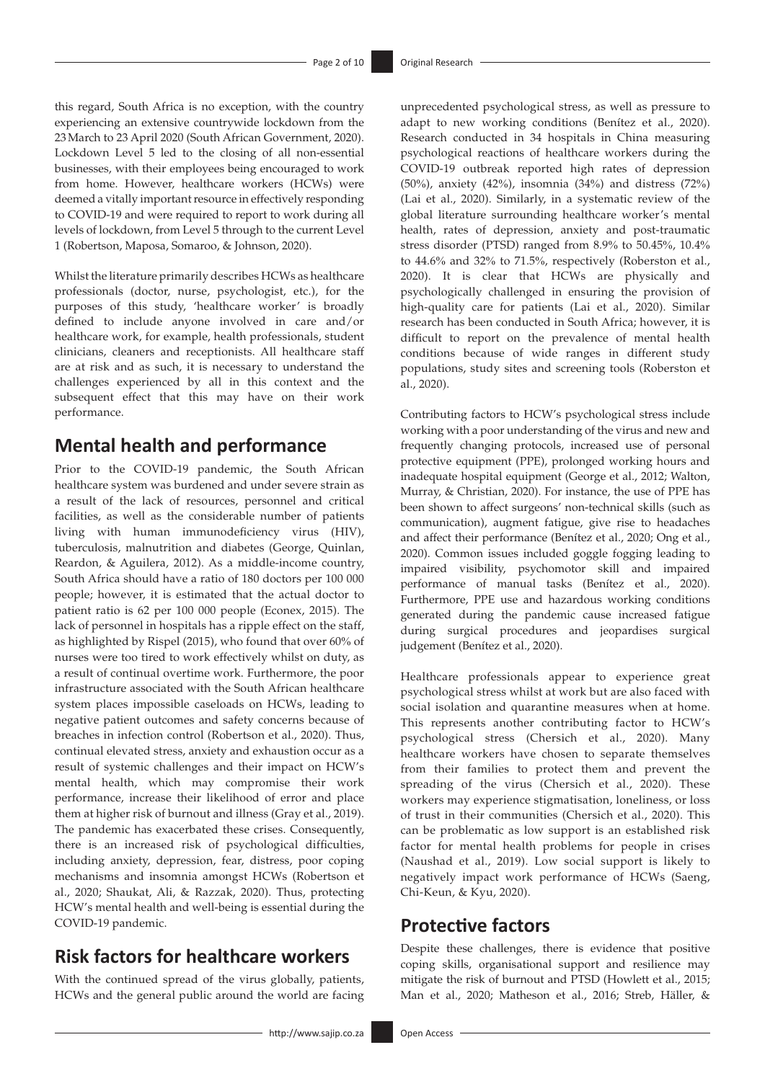this regard, South Africa is no exception, with the country experiencing an extensive countrywide lockdown from the 23March to 23 April 2020 (South African Government, 2020). Lockdown Level 5 led to the closing of all non-essential businesses, with their employees being encouraged to work from home. However, healthcare workers (HCWs) were deemed a vitally important resource in effectively responding to COVID-19 and were required to report to work during all levels of lockdown, from Level 5 through to the current Level 1 (Robertson, Maposa, Somaroo, & Johnson, 2020).

Whilst the literature primarily describes HCWs as healthcare professionals (doctor, nurse, psychologist, etc.), for the purposes of this study, 'healthcare worker' is broadly defined to include anyone involved in care and/or healthcare work, for example, health professionals, student clinicians, cleaners and receptionists. All healthcare staff are at risk and as such, it is necessary to understand the challenges experienced by all in this context and the subsequent effect that this may have on their work performance.

# **Mental health and performance**

Prior to the COVID-19 pandemic, the South African healthcare system was burdened and under severe strain as a result of the lack of resources, personnel and critical facilities, as well as the considerable number of patients living with human immunodeficiency virus (HIV), tuberculosis, malnutrition and diabetes (George, Quinlan, Reardon, & Aguilera, 2012). As a middle-income country, South Africa should have a ratio of 180 doctors per 100 000 people; however, it is estimated that the actual doctor to patient ratio is 62 per 100 000 people (Econex, 2015). The lack of personnel in hospitals has a ripple effect on the staff, as highlighted by Rispel (2015), who found that over 60% of nurses were too tired to work effectively whilst on duty, as a result of continual overtime work. Furthermore, the poor infrastructure associated with the South African healthcare system places impossible caseloads on HCWs, leading to negative patient outcomes and safety concerns because of breaches in infection control (Robertson et al., 2020). Thus, continual elevated stress, anxiety and exhaustion occur as a result of systemic challenges and their impact on HCW's mental health, which may compromise their work performance, increase their likelihood of error and place them at higher risk of burnout and illness (Gray et al., 2019). The pandemic has exacerbated these crises. Consequently, there is an increased risk of psychological difficulties, including anxiety, depression, fear, distress, poor coping mechanisms and insomnia amongst HCWs (Robertson et al., 2020; Shaukat, Ali, & Razzak, 2020). Thus, protecting HCW's mental health and well-being is essential during the COVID-19 pandemic.

# **Risk factors for healthcare workers**

With the continued spread of the virus globally, patients, HCWs and the general public around the world are facing unprecedented psychological stress, as well as pressure to adapt to new working conditions (Benítez et al., 2020). Research conducted in 34 hospitals in China measuring psychological reactions of healthcare workers during the COVID-19 outbreak reported high rates of depression (50%), anxiety (42%), insomnia (34%) and distress (72%) (Lai et al., 2020). Similarly, in a systematic review of the global literature surrounding healthcare worker's mental health, rates of depression, anxiety and post-traumatic stress disorder (PTSD) ranged from 8.9% to 50.45%, 10.4% to 44.6% and 32% to 71.5%, respectively (Roberston et al., 2020). It is clear that HCWs are physically and psychologically challenged in ensuring the provision of high-quality care for patients (Lai et al., 2020). Similar research has been conducted in South Africa; however, it is difficult to report on the prevalence of mental health conditions because of wide ranges in different study populations, study sites and screening tools (Roberston et al., 2020).

Contributing factors to HCW's psychological stress include working with a poor understanding of the virus and new and frequently changing protocols, increased use of personal protective equipment (PPE), prolonged working hours and inadequate hospital equipment (George et al., 2012; Walton, Murray, & Christian, 2020). For instance, the use of PPE has been shown to affect surgeons' non-technical skills (such as communication), augment fatigue, give rise to headaches and affect their performance (Benítez et al., 2020; Ong et al., 2020). Common issues included goggle fogging leading to impaired visibility, psychomotor skill and impaired performance of manual tasks (Benítez et al., 2020). Furthermore, PPE use and hazardous working conditions generated during the pandemic cause increased fatigue during surgical procedures and jeopardises surgical judgement (Benítez et al., 2020).

Healthcare professionals appear to experience great psychological stress whilst at work but are also faced with social isolation and quarantine measures when at home. This represents another contributing factor to HCW's psychological stress (Chersich et al., 2020). Many healthcare workers have chosen to separate themselves from their families to protect them and prevent the spreading of the virus (Chersich et al., 2020). These workers may experience stigmatisation, loneliness, or loss of trust in their communities (Chersich et al., 2020). This can be problematic as low support is an established risk factor for mental health problems for people in crises (Naushad et al., 2019). Low social support is likely to negatively impact work performance of HCWs (Saeng, Chi-Keun, & Kyu, 2020).

# **Protective factors**

Despite these challenges, there is evidence that positive coping skills, organisational support and resilience may mitigate the risk of burnout and PTSD (Howlett et al., 2015; Man et al., 2020; Matheson et al., 2016; Streb, Häller, &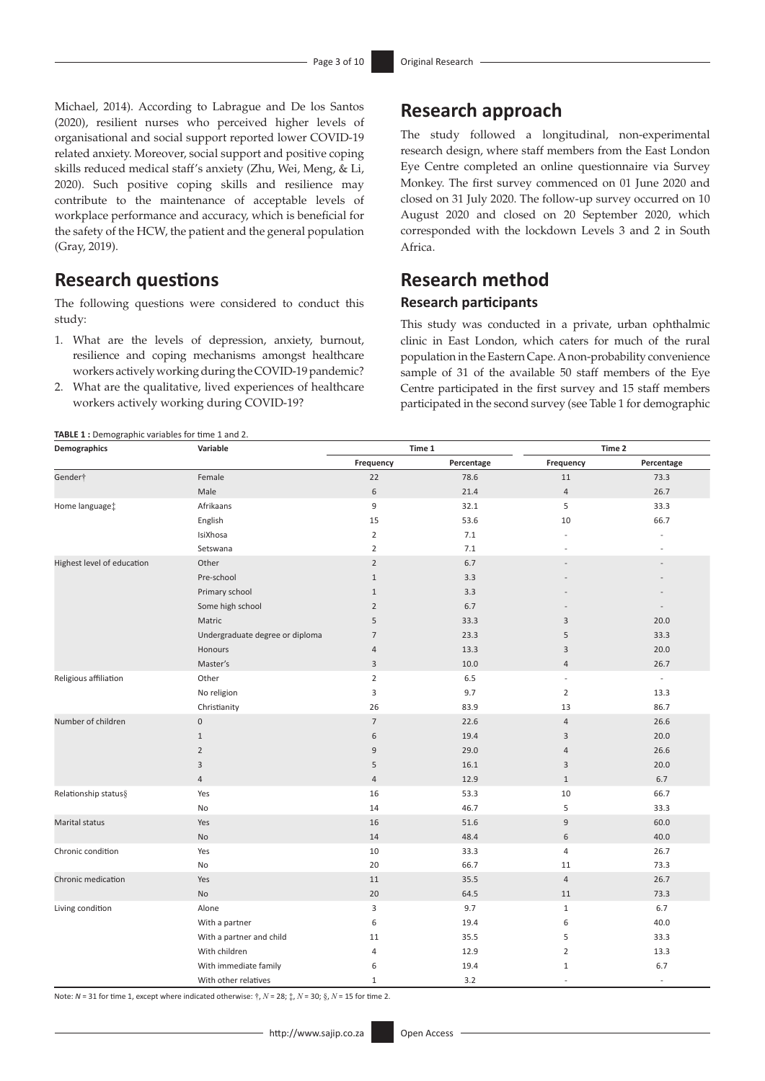Michael, 2014). According to Labrague and De los Santos (2020), resilient nurses who perceived higher levels of organisational and social support reported lower COVID-19 related anxiety. Moreover, social support and positive coping skills reduced medical staff's anxiety (Zhu, Wei, Meng, & Li, 2020). Such positive coping skills and resilience may contribute to the maintenance of acceptable levels of workplace performance and accuracy, which is beneficial for the safety of the HCW, the patient and the general population (Gray, 2019).

# **Research questions**

The following questions were considered to conduct this study:

- 1. What are the levels of depression, anxiety, burnout, resilience and coping mechanisms amongst healthcare workers actively working during the COVID-19 pandemic?
- 2. What are the qualitative, lived experiences of healthcare workers actively working during COVID-19?

# **Research approach**

The study followed a longitudinal, non-experimental research design, where staff members from the East London Eye Centre completed an online questionnaire via Survey Monkey. The first survey commenced on 01 June 2020 and closed on 31 July 2020. The follow-up survey occurred on 10 August 2020 and closed on 20 September 2020, which corresponded with the lockdown Levels 3 and 2 in South Africa.

# **Research method Research participants**

This study was conducted in a private, urban ophthalmic clinic in East London, which caters for much of the rural population in the Eastern Cape. A non-probability convenience sample of 31 of the available 50 staff members of the Eye Centre participated in the first survey and 15 staff members participated in the second survey (see Table 1 for demographic

| <b>TABLE 1:</b> Demographic variables for time 1 and 2. |  |  |
|---------------------------------------------------------|--|--|
|                                                         |  |  |

| Demographics               | Variable                        |                | Time 1     | Time 2                   |                          |  |
|----------------------------|---------------------------------|----------------|------------|--------------------------|--------------------------|--|
|                            |                                 | Frequency      | Percentage | Frequency                | Percentage               |  |
| Gender <sup>+</sup>        | Female                          | 22             | 78.6       | 11                       | 73.3                     |  |
|                            | Male                            | $\,$ 6 $\,$    | 21.4       | $\overline{4}$           | 26.7                     |  |
| Home language:             | Afrikaans                       | 9              | 32.1       | 5                        | 33.3                     |  |
|                            | English                         | 15             | 53.6       | 10                       | 66.7                     |  |
|                            | IsiXhosa                        | $\overline{2}$ | 7.1        |                          |                          |  |
|                            | Setswana                        | $\overline{2}$ | 7.1        |                          |                          |  |
| Highest level of education | Other                           | $\overline{2}$ | 6.7        |                          |                          |  |
|                            | Pre-school                      | $\mathbf{1}$   | 3.3        |                          |                          |  |
|                            | Primary school                  | $\mathbf{1}$   | 3.3        |                          |                          |  |
|                            | Some high school                | $\overline{2}$ | 6.7        |                          |                          |  |
|                            | Matric                          | 5              | 33.3       | 3                        | 20.0                     |  |
|                            | Undergraduate degree or diploma | $\overline{7}$ | 23.3       | 5                        | 33.3                     |  |
|                            | Honours                         | $\overline{4}$ | 13.3       | 3                        | 20.0                     |  |
|                            | Master's                        | 3              | 10.0       | $\overline{4}$           | 26.7                     |  |
| Religious affiliation      | Other                           | $\overline{2}$ | 6.5        | $\overline{\phantom{a}}$ | $\overline{\phantom{a}}$ |  |
|                            | No religion                     | 3              | 9.7        | $\overline{2}$           | 13.3                     |  |
|                            | Christianity                    | 26             | 83.9       | 13                       | 86.7                     |  |
| Number of children         | $\mathbf 0$                     | $\overline{7}$ | 22.6       | $\overline{4}$           | 26.6                     |  |
|                            | $\mathbf{1}$                    | 6              | 19.4       | 3                        | 20.0                     |  |
|                            | $\overline{2}$                  | $9$            | 29.0       | $\sqrt{4}$               | 26.6                     |  |
|                            | 3                               | 5              | 16.1       | 3                        | 20.0                     |  |
|                            | $\overline{4}$                  | $\sqrt{4}$     | 12.9       | $\mathbf{1}$             | 6.7                      |  |
| Relationship status§       | Yes                             | 16             | 53.3       | 10                       | 66.7                     |  |
|                            | No                              | 14             | 46.7       | 5                        | 33.3                     |  |
| Marital status             | Yes                             | 16             | 51.6       | 9                        | 60.0                     |  |
|                            | No                              | 14             | 48.4       | 6                        | 40.0                     |  |
| Chronic condition          | Yes                             | 10             | 33.3       | 4                        | 26.7                     |  |
|                            | No                              | 20             | 66.7       | 11                       | 73.3                     |  |
| Chronic medication         | Yes                             | 11             | 35.5       | 4                        | 26.7                     |  |
|                            | <b>No</b>                       | 20             | 64.5       | 11                       | 73.3                     |  |
| Living condition           | Alone                           | 3              | 9.7        | $1\,$                    | 6.7                      |  |
|                            | With a partner                  | 6              | 19.4       | 6                        | 40.0                     |  |
|                            | With a partner and child        | 11             | 35.5       | 5                        | 33.3                     |  |
|                            | With children                   | 4              | 12.9       | $\overline{2}$           | 13.3                     |  |
|                            | With immediate family           | 6              | 19.4       | $1\,$                    | 6.7                      |  |
|                            | With other relatives            | $\mathbf{1}$   | 3.2        |                          | $\overline{a}$           |  |

Note:  $N = 31$  for time 1, except where indicated otherwise:  $\dot{\tau}$ ,  $N = 28$ ;  $\dot{\tau}$ ,  $N = 30$ ;  $\dot{\delta}$ ,  $N = 15$  for time 2.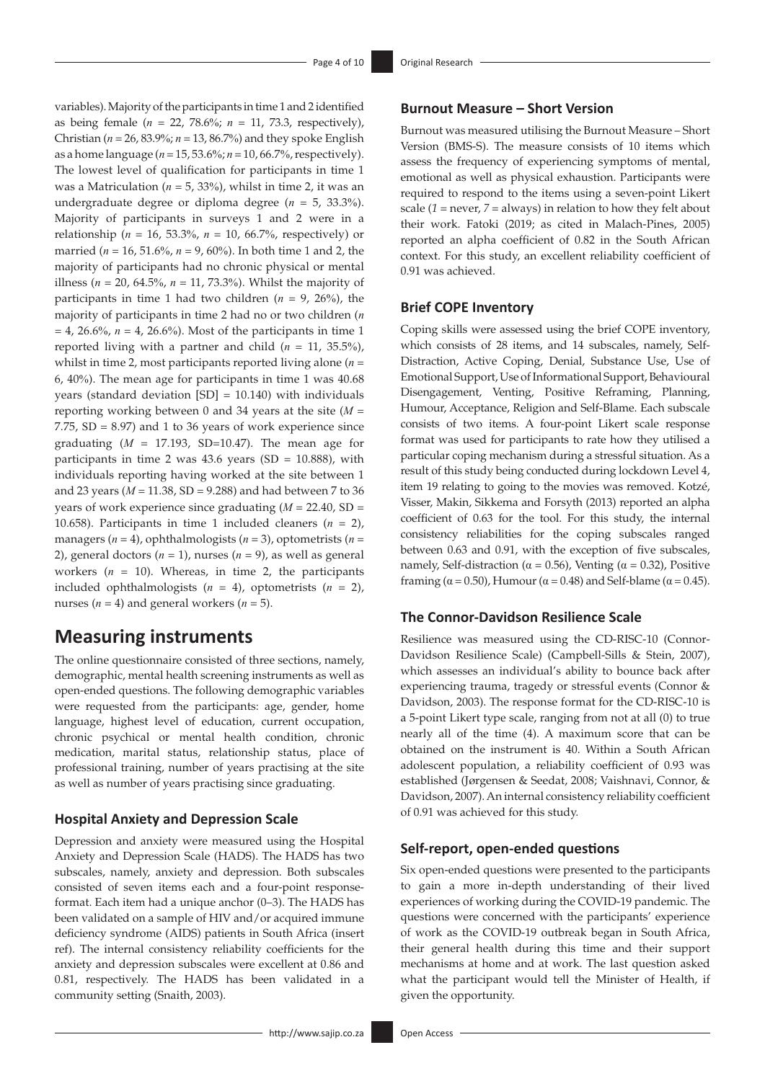variables). Majority of the participants in time 1 and 2 identified as being female (*n* = 22, 78.6%; *n* = 11, 73.3, respectively), Christian (*n* = 26, 83.9%; *n* = 13, 86.7%) and they spoke English as a home language (*n* = 15, 53.6%; *n* = 10, 66.7%, respectively). The lowest level of qualification for participants in time 1 was a Matriculation ( $n = 5$ , 33%), whilst in time 2, it was an undergraduate degree or diploma degree (*n* = 5, 33.3%). Majority of participants in surveys 1 and 2 were in a relationship ( $n = 16$ , 53.3%,  $n = 10$ , 66.7%, respectively) or married (*n* = 16, 51.6%, *n* = 9, 60%). In both time 1 and 2, the majority of participants had no chronic physical or mental illness (*n* = 20, 64.5%, *n* = 11, 73.3%). Whilst the majority of participants in time 1 had two children  $(n = 9, 26\%)$ , the majority of participants in time 2 had no or two children (*n*  $= 4$ , 26.6%,  $n = 4$ , 26.6%). Most of the participants in time 1 reported living with a partner and child  $(n = 11, 35.5\%)$ , whilst in time 2, most participants reported living alone (*n* = 6, 40%). The mean age for participants in time 1 was 40.68 years (standard deviation [SD] = 10.140) with individuals reporting working between 0 and 34 years at the site (*M* = 7.75, SD = 8.97) and 1 to 36 years of work experience since graduating  $(M = 17.193, SD=10.47)$ . The mean age for participants in time 2 was 43.6 years (SD =  $10.888$ ), with individuals reporting having worked at the site between 1 and 23 years (*M* = 11.38, SD = 9.288) and had between 7 to 36 years of work experience since graduating (*M* = 22.40, SD = 10.658). Participants in time 1 included cleaners (*n* = 2), managers (*n* = 4), ophthalmologists (*n* = 3), optometrists (*n* = 2), general doctors  $(n = 1)$ , nurses  $(n = 9)$ , as well as general workers (*n* = 10). Whereas, in time 2, the participants included ophthalmologists  $(n = 4)$ , optometrists  $(n = 2)$ , nurses  $(n = 4)$  and general workers  $(n = 5)$ .

## **Measuring instruments**

The online questionnaire consisted of three sections, namely, demographic, mental health screening instruments as well as open-ended questions. The following demographic variables were requested from the participants: age, gender, home language, highest level of education, current occupation, chronic psychical or mental health condition, chronic medication, marital status, relationship status, place of professional training, number of years practising at the site as well as number of years practising since graduating.

## **Hospital Anxiety and Depression Scale**

Depression and anxiety were measured using the Hospital Anxiety and Depression Scale (HADS). The HADS has two subscales, namely, anxiety and depression. Both subscales consisted of seven items each and a four-point responseformat. Each item had a unique anchor (0–3). The HADS has been validated on a sample of HIV and/or acquired immune deficiency syndrome (AIDS) patients in South Africa (insert ref). The internal consistency reliability coefficients for the anxiety and depression subscales were excellent at 0.86 and 0.81, respectively. The HADS has been validated in a community setting (Snaith, 2003).

## **Burnout Measure – Short Version**

Burnout was measured utilising the Burnout Measure – Short Version (BMS-S). The measure consists of 10 items which assess the frequency of experiencing symptoms of mental, emotional as well as physical exhaustion. Participants were required to respond to the items using a seven-point Likert scale (*1* = never, *7* = always) in relation to how they felt about their work. Fatoki (2019; as cited in Malach-Pines, 2005) reported an alpha coefficient of 0.82 in the South African context. For this study, an excellent reliability coefficient of 0.91 was achieved.

## **Brief COPE Inventory**

Coping skills were assessed using the brief COPE inventory, which consists of 28 items, and 14 subscales, namely, Self-Distraction, Active Coping, Denial, Substance Use, Use of Emotional Support, Use of Informational Support, Behavioural Disengagement, Venting, Positive Reframing, Planning, Humour, Acceptance, Religion and Self-Blame. Each subscale consists of two items. A four-point Likert scale response format was used for participants to rate how they utilised a particular coping mechanism during a stressful situation. As a result of this study being conducted during lockdown Level 4, item 19 relating to going to the movies was removed. Kotzé, Visser, Makin, Sikkema and Forsyth (2013) reported an alpha coefficient of 0.63 for the tool. For this study, the internal consistency reliabilities for the coping subscales ranged between 0.63 and 0.91, with the exception of five subscales, namely, Self-distraction ( $α = 0.56$ ), Venting ( $α = 0.32$ ), Positive framing ( $\alpha$  = 0.50), Humour ( $\alpha$  = 0.48) and Self-blame ( $\alpha$  = 0.45).

## **The Connor-Davidson Resilience Scale**

Resilience was measured using the CD-RISC-10 (Connor-Davidson Resilience Scale) (Campbell-Sills & Stein, 2007), which assesses an individual's ability to bounce back after experiencing trauma, tragedy or stressful events (Connor & Davidson, 2003). The response format for the CD-RISC-10 is a 5-point Likert type scale, ranging from not at all (0) to true nearly all of the time (4). A maximum score that can be obtained on the instrument is 40. Within a South African adolescent population, a reliability coefficient of 0.93 was established (Jørgensen & Seedat, 2008; Vaishnavi, Connor, & Davidson, 2007). An internal consistency reliability coefficient of 0.91 was achieved for this study.

## **Self-report, open-ended questions**

Six open-ended questions were presented to the participants to gain a more in-depth understanding of their lived experiences of working during the COVID-19 pandemic. The questions were concerned with the participants' experience of work as the COVID-19 outbreak began in South Africa, their general health during this time and their support mechanisms at home and at work. The last question asked what the participant would tell the Minister of Health, if given the opportunity.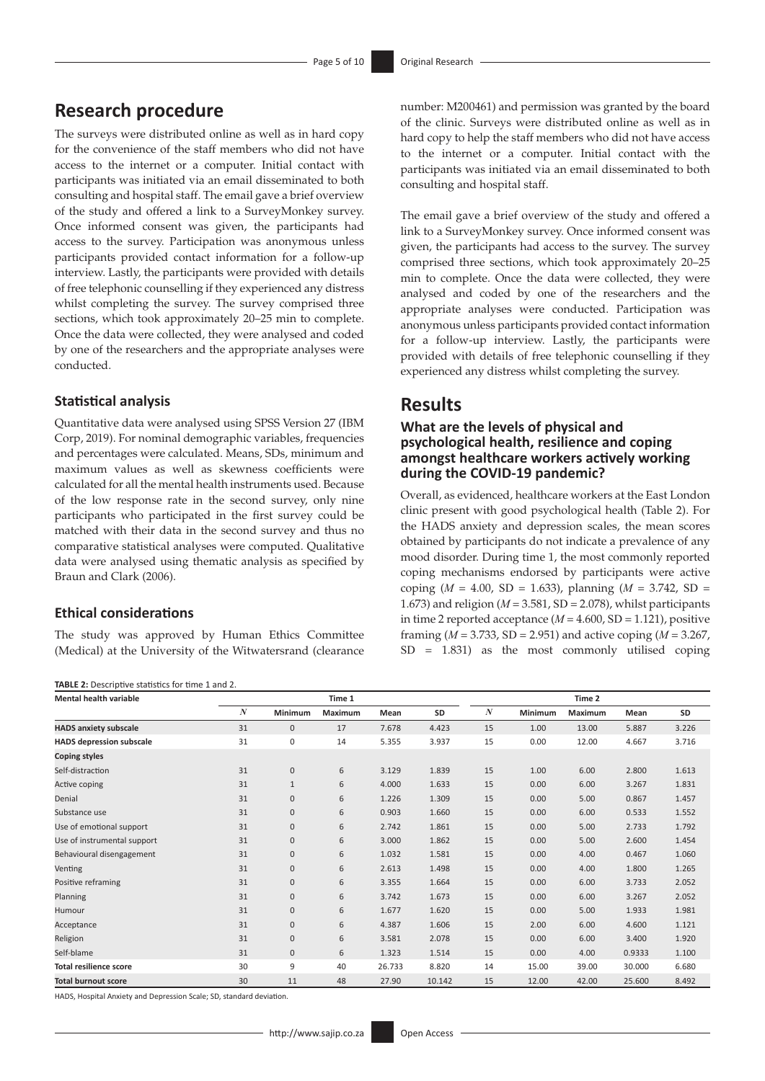# **Research procedure**

The surveys were distributed online as well as in hard copy for the convenience of the staff members who did not have access to the internet or a computer. Initial contact with participants was initiated via an email disseminated to both consulting and hospital staff. The email gave a brief overview of the study and offered a link to a SurveyMonkey survey. Once informed consent was given, the participants had access to the survey. Participation was anonymous unless participants provided contact information for a follow-up interview. Lastly, the participants were provided with details of free telephonic counselling if they experienced any distress whilst completing the survey. The survey comprised three sections, which took approximately 20–25 min to complete. Once the data were collected, they were analysed and coded by one of the researchers and the appropriate analyses were conducted.

## **Statistical analysis**

Quantitative data were analysed using SPSS Version 27 (IBM Corp, 2019). For nominal demographic variables, frequencies and percentages were calculated. Means, SDs, minimum and maximum values as well as skewness coefficients were calculated for all the mental health instruments used. Because of the low response rate in the second survey, only nine participants who participated in the first survey could be matched with their data in the second survey and thus no comparative statistical analyses were computed. Qualitative data were analysed using thematic analysis as specified by Braun and Clark (2006).

## **Ethical considerations**

The study was approved by Human Ethics Committee (Medical) at the University of the Witwatersrand (clearance

#### **TABLE 2:** Descriptive statistics for time 1 and 2.

number: M200461) and permission was granted by the board of the clinic. Surveys were distributed online as well as in hard copy to help the staff members who did not have access to the internet or a computer. Initial contact with the participants was initiated via an email disseminated to both consulting and hospital staff.

The email gave a brief overview of the study and offered a link to a SurveyMonkey survey. Once informed consent was given, the participants had access to the survey. The survey comprised three sections, which took approximately 20–25 min to complete. Once the data were collected, they were analysed and coded by one of the researchers and the appropriate analyses were conducted. Participation was anonymous unless participants provided contact information for a follow-up interview. Lastly, the participants were provided with details of free telephonic counselling if they experienced any distress whilst completing the survey.

## **Results**

## **What are the levels of physical and psychological health, resilience and coping amongst healthcare workers actively working during the COVID-19 pandemic?**

Overall, as evidenced, healthcare workers at the East London clinic present with good psychological health (Table 2). For the HADS anxiety and depression scales, the mean scores obtained by participants do not indicate a prevalence of any mood disorder. During time 1, the most commonly reported coping mechanisms endorsed by participants were active coping (*M* = 4.00, SD = 1.633), planning (*M* = 3.742, SD = 1.673) and religion (*M* = 3.581, SD = 2.078), whilst participants in time 2 reported acceptance  $(M = 4.600, SD = 1.121)$ , positive framing (*M* = 3.733, SD = 2.951) and active coping (*M* = 3.267, SD = 1.831) as the most commonly utilised coping

| <b>Mental health variable</b>   |    | Time 1       |                |        | Time 2 |                  |         |                |        |           |
|---------------------------------|----|--------------|----------------|--------|--------|------------------|---------|----------------|--------|-----------|
|                                 | N  | Minimum      | <b>Maximum</b> | Mean   | SD     | $\boldsymbol{N}$ | Minimum | <b>Maximum</b> | Mean   | <b>SD</b> |
| <b>HADS anxiety subscale</b>    | 31 | $\mathbf 0$  | 17             | 7.678  | 4.423  | 15               | 1.00    | 13.00          | 5.887  | 3.226     |
| <b>HADS</b> depression subscale | 31 | $\mathbf 0$  | 14             | 5.355  | 3.937  | 15               | 0.00    | 12.00          | 4.667  | 3.716     |
| <b>Coping styles</b>            |    |              |                |        |        |                  |         |                |        |           |
| Self-distraction                | 31 | $\mathbf 0$  | 6              | 3.129  | 1.839  | 15               | 1.00    | 6.00           | 2.800  | 1.613     |
| Active coping                   | 31 | $\mathbf{1}$ | 6              | 4.000  | 1.633  | 15               | 0.00    | 6.00           | 3.267  | 1.831     |
| Denial                          | 31 | $\mathbf{0}$ | 6              | 1.226  | 1.309  | 15               | 0.00    | 5.00           | 0.867  | 1.457     |
| Substance use                   | 31 | $\mathbf 0$  | 6              | 0.903  | 1.660  | 15               | 0.00    | 6.00           | 0.533  | 1.552     |
| Use of emotional support        | 31 | $\mathbf 0$  | 6              | 2.742  | 1.861  | 15               | 0.00    | 5.00           | 2.733  | 1.792     |
| Use of instrumental support     | 31 | $\mathbf{0}$ | 6              | 3.000  | 1.862  | 15               | 0.00    | 5.00           | 2.600  | 1.454     |
| Behavioural disengagement       | 31 | $\mathbf 0$  | 6              | 1.032  | 1.581  | 15               | 0.00    | 4.00           | 0.467  | 1.060     |
| Venting                         | 31 | $\mathbf{0}$ | 6              | 2.613  | 1.498  | 15               | 0.00    | 4.00           | 1.800  | 1.265     |
| Positive reframing              | 31 | $\mathbf{0}$ | 6              | 3.355  | 1.664  | 15               | 0.00    | 6.00           | 3.733  | 2.052     |
| Planning                        | 31 | $\mathbf 0$  | 6              | 3.742  | 1.673  | 15               | 0.00    | 6.00           | 3.267  | 2.052     |
| Humour                          | 31 | $\mathbf{0}$ | 6              | 1.677  | 1.620  | 15               | 0.00    | 5.00           | 1.933  | 1.981     |
| Acceptance                      | 31 | $\mathbf{0}$ | 6              | 4.387  | 1.606  | 15               | 2.00    | 6.00           | 4.600  | 1.121     |
| Religion                        | 31 | $\mathbf{0}$ | 6              | 3.581  | 2.078  | 15               | 0.00    | 6.00           | 3.400  | 1.920     |
| Self-blame                      | 31 | $\mathbf 0$  | 6              | 1.323  | 1.514  | 15               | 0.00    | 4.00           | 0.9333 | 1.100     |
| <b>Total resilience score</b>   | 30 | 9            | 40             | 26.733 | 8.820  | 14               | 15.00   | 39.00          | 30.000 | 6.680     |
| <b>Total burnout score</b>      | 30 | 11           | 48             | 27.90  | 10.142 | 15               | 12.00   | 42.00          | 25.600 | 8.492     |

HADS, Hospital Anxiety and Depression Scale; SD, standard deviation.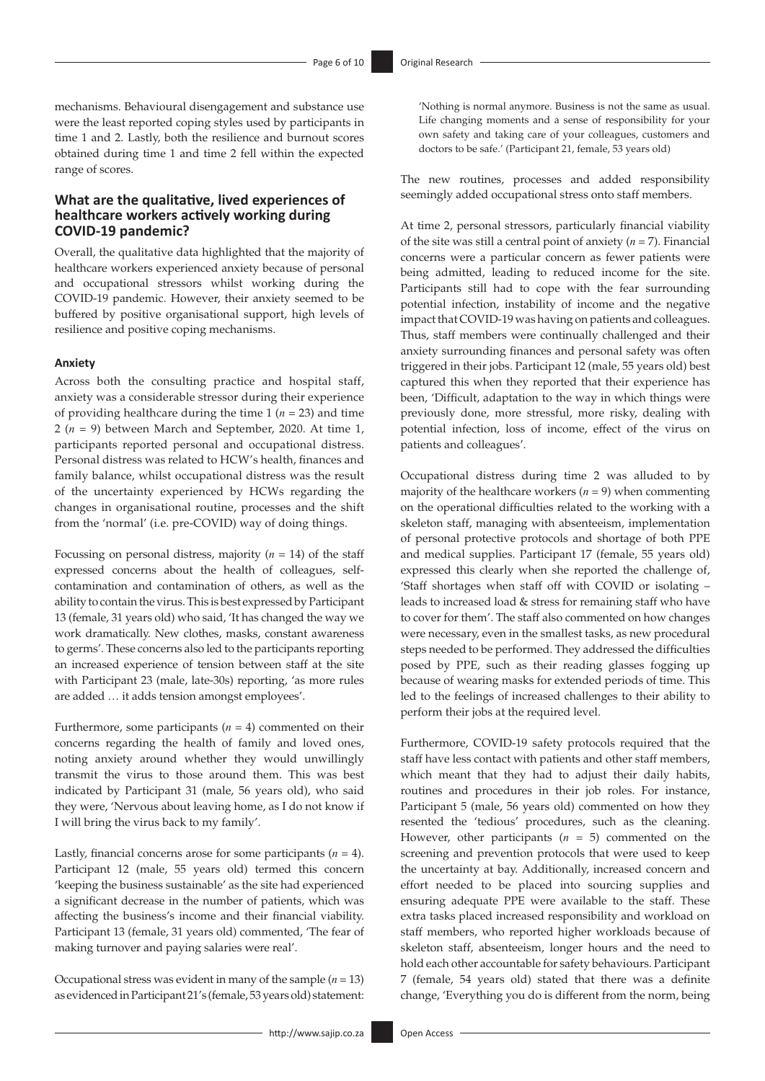mechanisms. Behavioural disengagement and substance use were the least reported coping styles used by participants in time 1 and 2. Lastly, both the resilience and burnout scores obtained during time 1 and time 2 fell within the expected range of scores.

## **What are the qualitative, lived experiences of healthcare workers actively working during COVID-19 pandemic?**

Overall, the qualitative data highlighted that the majority of healthcare workers experienced anxiety because of personal and occupational stressors whilst working during the COVID-19 pandemic. However, their anxiety seemed to be buffered by positive organisational support, high levels of resilience and positive coping mechanisms.

#### **Anxiety**

Across both the consulting practice and hospital staff, anxiety was a considerable stressor during their experience of providing healthcare during the time 1 (*n* = 23) and time 2 (*n* = 9) between March and September, 2020. At time 1, participants reported personal and occupational distress. Personal distress was related to HCW's health, finances and family balance, whilst occupational distress was the result of the uncertainty experienced by HCWs regarding the changes in organisational routine, processes and the shift from the 'normal' (i.e. pre-COVID) way of doing things.

Focussing on personal distress, majority  $(n = 14)$  of the staff expressed concerns about the health of colleagues, selfcontamination and contamination of others, as well as the ability to contain the virus. This is best expressed by Participant 13 (female, 31 years old) who said, 'It has changed the way we work dramatically. New clothes, masks, constant awareness to germs'. These concerns also led to the participants reporting an increased experience of tension between staff at the site with Participant 23 (male, late-30s) reporting, 'as more rules are added … it adds tension amongst employees'.

Furthermore, some participants  $(n = 4)$  commented on their concerns regarding the health of family and loved ones, noting anxiety around whether they would unwillingly transmit the virus to those around them. This was best indicated by Participant 31 (male, 56 years old), who said they were, 'Nervous about leaving home, as I do not know if I will bring the virus back to my family'.

Lastly, financial concerns arose for some participants  $(n = 4)$ . Participant 12 (male, 55 years old) termed this concern 'keeping the business sustainable' as the site had experienced a significant decrease in the number of patients, which was affecting the business's income and their financial viability. Participant 13 (female, 31 years old) commented, 'The fear of making turnover and paying salaries were real'.

Occupational stress was evident in many of the sample  $(n = 13)$ as evidenced in Participant 21's (female, 53 years old) statement:

'Nothing is normal anymore. Business is not the same as usual. Life changing moments and a sense of responsibility for your own safety and taking care of your colleagues, customers and doctors to be safe.' (Participant 21, female, 53 years old)

The new routines, processes and added responsibility seemingly added occupational stress onto staff members.

At time 2, personal stressors, particularly financial viability of the site was still a central point of anxiety (*n* = 7). Financial concerns were a particular concern as fewer patients were being admitted, leading to reduced income for the site. Participants still had to cope with the fear surrounding potential infection, instability of income and the negative impact that COVID-19 was having on patients and colleagues. Thus, staff members were continually challenged and their anxiety surrounding finances and personal safety was often triggered in their jobs. Participant 12 (male, 55 years old) best captured this when they reported that their experience has been, 'Difficult, adaptation to the way in which things were previously done, more stressful, more risky, dealing with potential infection, loss of income, effect of the virus on patients and colleagues'.

Occupational distress during time 2 was alluded to by majority of the healthcare workers  $(n = 9)$  when commenting on the operational difficulties related to the working with a skeleton staff, managing with absenteeism, implementation of personal protective protocols and shortage of both PPE and medical supplies. Participant 17 (female, 55 years old) expressed this clearly when she reported the challenge of, 'Staff shortages when staff off with COVID or isolating – leads to increased load & stress for remaining staff who have to cover for them'. The staff also commented on how changes were necessary, even in the smallest tasks, as new procedural steps needed to be performed. They addressed the difficulties posed by PPE, such as their reading glasses fogging up because of wearing masks for extended periods of time. This led to the feelings of increased challenges to their ability to perform their jobs at the required level.

Furthermore, COVID-19 safety protocols required that the staff have less contact with patients and other staff members, which meant that they had to adjust their daily habits, routines and procedures in their job roles. For instance, Participant 5 (male, 56 years old) commented on how they resented the 'tedious' procedures, such as the cleaning. However, other participants (*n* = 5) commented on the screening and prevention protocols that were used to keep the uncertainty at bay. Additionally, increased concern and effort needed to be placed into sourcing supplies and ensuring adequate PPE were available to the staff. These extra tasks placed increased responsibility and workload on staff members, who reported higher workloads because of skeleton staff, absenteeism, longer hours and the need to hold each other accountable for safety behaviours. Participant 7 (female, 54 years old) stated that there was a definite change, 'Everything you do is different from the norm, being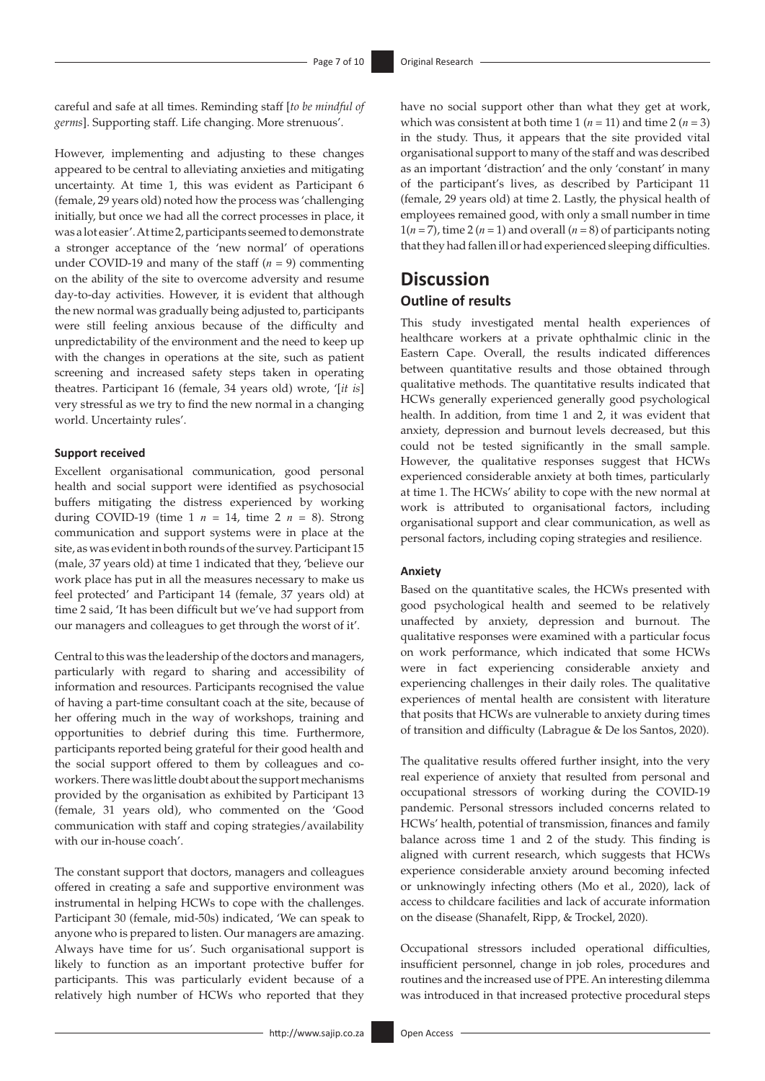careful and safe at all times. Reminding staff [*to be mindful of germs*]. Supporting staff. Life changing. More strenuous'.

However, implementing and adjusting to these changes appeared to be central to alleviating anxieties and mitigating uncertainty. At time 1, this was evident as Participant 6 (female, 29 years old) noted how the process was 'challenging initially, but once we had all the correct processes in place, it was a lot easier'. At time 2, participants seemed to demonstrate a stronger acceptance of the 'new normal' of operations under COVID-19 and many of the staff (*n* = 9) commenting on the ability of the site to overcome adversity and resume day-to-day activities. However, it is evident that although the new normal was gradually being adjusted to, participants were still feeling anxious because of the difficulty and unpredictability of the environment and the need to keep up with the changes in operations at the site, such as patient screening and increased safety steps taken in operating theatres. Participant 16 (female, 34 years old) wrote, '[*it is*] very stressful as we try to find the new normal in a changing world. Uncertainty rules'.

#### **Support received**

Excellent organisational communication, good personal health and social support were identified as psychosocial buffers mitigating the distress experienced by working during COVID-19 (time 1  $n = 14$ , time 2  $n = 8$ ). Strong communication and support systems were in place at the site, as was evident in both rounds of the survey. Participant 15 (male, 37 years old) at time 1 indicated that they, 'believe our work place has put in all the measures necessary to make us feel protected' and Participant 14 (female, 37 years old) at time 2 said, 'It has been difficult but we've had support from our managers and colleagues to get through the worst of it'.

Central to this was the leadership of the doctors and managers, particularly with regard to sharing and accessibility of information and resources. Participants recognised the value of having a part-time consultant coach at the site, because of her offering much in the way of workshops, training and opportunities to debrief during this time. Furthermore, participants reported being grateful for their good health and the social support offered to them by colleagues and coworkers. There was little doubt about the support mechanisms provided by the organisation as exhibited by Participant 13 (female, 31 years old), who commented on the 'Good communication with staff and coping strategies/availability with our in-house coach'.

The constant support that doctors, managers and colleagues offered in creating a safe and supportive environment was instrumental in helping HCWs to cope with the challenges. Participant 30 (female, mid-50s) indicated, 'We can speak to anyone who is prepared to listen. Our managers are amazing. Always have time for us'. Such organisational support is likely to function as an important protective buffer for participants. This was particularly evident because of a relatively high number of HCWs who reported that they

have no social support other than what they get at work, which was consistent at both time 1 ( $n = 11$ ) and time 2 ( $n = 3$ ) in the study. Thus, it appears that the site provided vital organisational support to many of the staff and was described as an important 'distraction' and the only 'constant' in many of the participant's lives, as described by Participant 11 (female, 29 years old) at time 2. Lastly, the physical health of employees remained good, with only a small number in time  $1(n=7)$ , time 2 ( $n=1$ ) and overall ( $n=8$ ) of participants noting that they had fallen ill or had experienced sleeping difficulties.

# **Discussion**

## **Outline of results**

This study investigated mental health experiences of healthcare workers at a private ophthalmic clinic in the Eastern Cape. Overall, the results indicated differences between quantitative results and those obtained through qualitative methods. The quantitative results indicated that HCWs generally experienced generally good psychological health. In addition, from time 1 and 2, it was evident that anxiety, depression and burnout levels decreased, but this could not be tested significantly in the small sample. However, the qualitative responses suggest that HCWs experienced considerable anxiety at both times, particularly at time 1. The HCWs' ability to cope with the new normal at work is attributed to organisational factors, including organisational support and clear communication, as well as personal factors, including coping strategies and resilience.

#### **Anxiety**

Based on the quantitative scales, the HCWs presented with good psychological health and seemed to be relatively unaffected by anxiety, depression and burnout. The qualitative responses were examined with a particular focus on work performance, which indicated that some HCWs were in fact experiencing considerable anxiety and experiencing challenges in their daily roles. The qualitative experiences of mental health are consistent with literature that posits that HCWs are vulnerable to anxiety during times of transition and difficulty (Labrague & De los Santos, 2020).

The qualitative results offered further insight, into the very real experience of anxiety that resulted from personal and occupational stressors of working during the COVID-19 pandemic. Personal stressors included concerns related to HCWs' health, potential of transmission, finances and family balance across time 1 and 2 of the study. This finding is aligned with current research, which suggests that HCWs experience considerable anxiety around becoming infected or unknowingly infecting others (Mo et al., 2020), lack of access to childcare facilities and lack of accurate information on the disease (Shanafelt, Ripp, & Trockel, 2020).

Occupational stressors included operational difficulties, insufficient personnel, change in job roles, procedures and routines and the increased use of PPE. An interesting dilemma was introduced in that increased protective procedural steps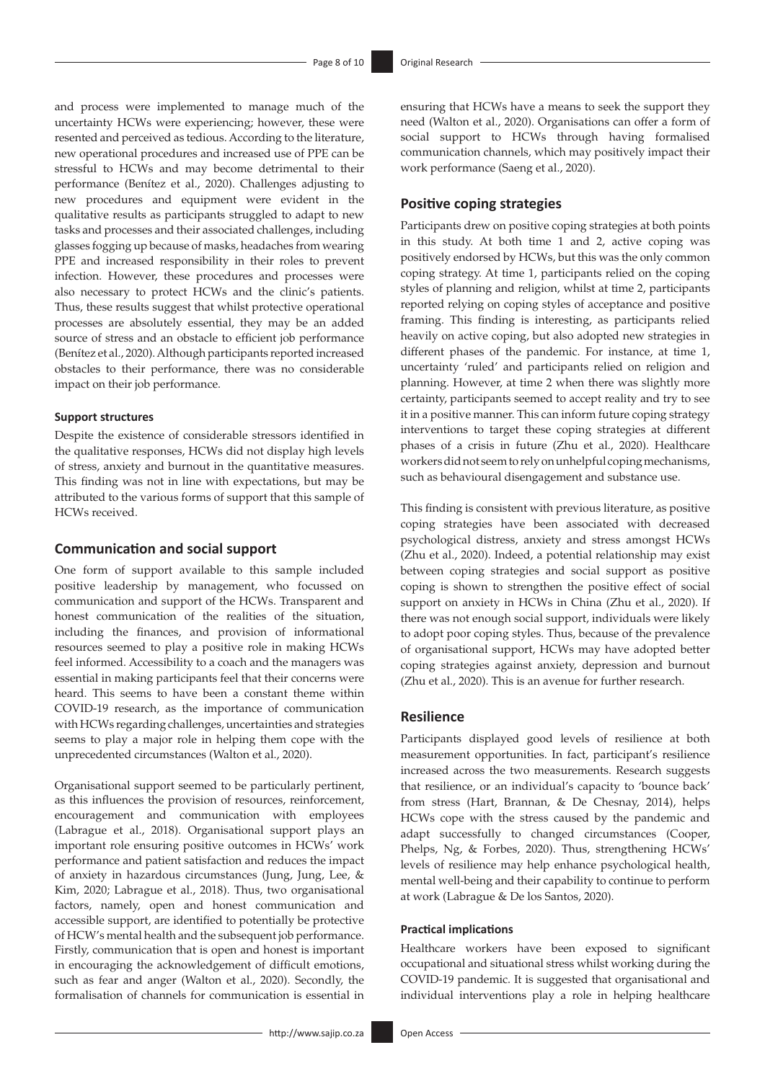and process were implemented to manage much of the uncertainty HCWs were experiencing; however, these were resented and perceived as tedious. According to the literature, new operational procedures and increased use of PPE can be stressful to HCWs and may become detrimental to their performance (Benítez et al., 2020). Challenges adjusting to new procedures and equipment were evident in the qualitative results as participants struggled to adapt to new tasks and processes and their associated challenges, including glasses fogging up because of masks, headaches from wearing PPE and increased responsibility in their roles to prevent infection. However, these procedures and processes were also necessary to protect HCWs and the clinic's patients. Thus, these results suggest that whilst protective operational processes are absolutely essential, they may be an added source of stress and an obstacle to efficient job performance (Benítez et al., 2020). Although participants reported increased obstacles to their performance, there was no considerable impact on their job performance.

### **Support structures**

Despite the existence of considerable stressors identified in the qualitative responses, HCWs did not display high levels of stress, anxiety and burnout in the quantitative measures. This finding was not in line with expectations, but may be attributed to the various forms of support that this sample of HCWs received.

## **Communication and social support**

One form of support available to this sample included positive leadership by management, who focussed on communication and support of the HCWs. Transparent and honest communication of the realities of the situation, including the finances, and provision of informational resources seemed to play a positive role in making HCWs feel informed. Accessibility to a coach and the managers was essential in making participants feel that their concerns were heard. This seems to have been a constant theme within COVID-19 research, as the importance of communication with HCWs regarding challenges, uncertainties and strategies seems to play a major role in helping them cope with the unprecedented circumstances (Walton et al., 2020).

Organisational support seemed to be particularly pertinent, as this influences the provision of resources, reinforcement, encouragement and communication with employees (Labrague et al., 2018). Organisational support plays an important role ensuring positive outcomes in HCWs' work performance and patient satisfaction and reduces the impact of anxiety in hazardous circumstances (Jung, Jung, Lee, & Kim, 2020; Labrague et al., 2018). Thus, two organisational factors, namely, open and honest communication and accessible support, are identified to potentially be protective of HCW's mental health and the subsequent job performance. Firstly, communication that is open and honest is important in encouraging the acknowledgement of difficult emotions, such as fear and anger (Walton et al., 2020). Secondly, the formalisation of channels for communication is essential in ensuring that HCWs have a means to seek the support they need (Walton et al., 2020). Organisations can offer a form of social support to HCWs through having formalised communication channels, which may positively impact their work performance (Saeng et al., 2020).

## **Positive coping strategies**

Participants drew on positive coping strategies at both points in this study. At both time 1 and 2, active coping was positively endorsed by HCWs, but this was the only common coping strategy. At time 1, participants relied on the coping styles of planning and religion, whilst at time 2, participants reported relying on coping styles of acceptance and positive framing. This finding is interesting, as participants relied heavily on active coping, but also adopted new strategies in different phases of the pandemic. For instance, at time 1, uncertainty 'ruled' and participants relied on religion and planning. However, at time 2 when there was slightly more certainty, participants seemed to accept reality and try to see it in a positive manner. This can inform future coping strategy interventions to target these coping strategies at different phases of a crisis in future (Zhu et al., 2020). Healthcare workers did not seem to rely on unhelpful coping mechanisms, such as behavioural disengagement and substance use.

This finding is consistent with previous literature, as positive coping strategies have been associated with decreased psychological distress, anxiety and stress amongst HCWs (Zhu et al., 2020). Indeed, a potential relationship may exist between coping strategies and social support as positive coping is shown to strengthen the positive effect of social support on anxiety in HCWs in China (Zhu et al., 2020). If there was not enough social support, individuals were likely to adopt poor coping styles. Thus, because of the prevalence of organisational support, HCWs may have adopted better coping strategies against anxiety, depression and burnout (Zhu et al., 2020). This is an avenue for further research.

## **Resilience**

Participants displayed good levels of resilience at both measurement opportunities. In fact, participant's resilience increased across the two measurements. Research suggests that resilience, or an individual's capacity to 'bounce back' from stress (Hart, Brannan, & De Chesnay, 2014), helps HCWs cope with the stress caused by the pandemic and adapt successfully to changed circumstances (Cooper, Phelps, Ng, & Forbes, 2020). Thus, strengthening HCWs' levels of resilience may help enhance psychological health, mental well-being and their capability to continue to perform at work (Labrague & De los Santos, 2020).

#### **Practical implications**

Healthcare workers have been exposed to significant occupational and situational stress whilst working during the COVID-19 pandemic. It is suggested that organisational and individual interventions play a role in helping healthcare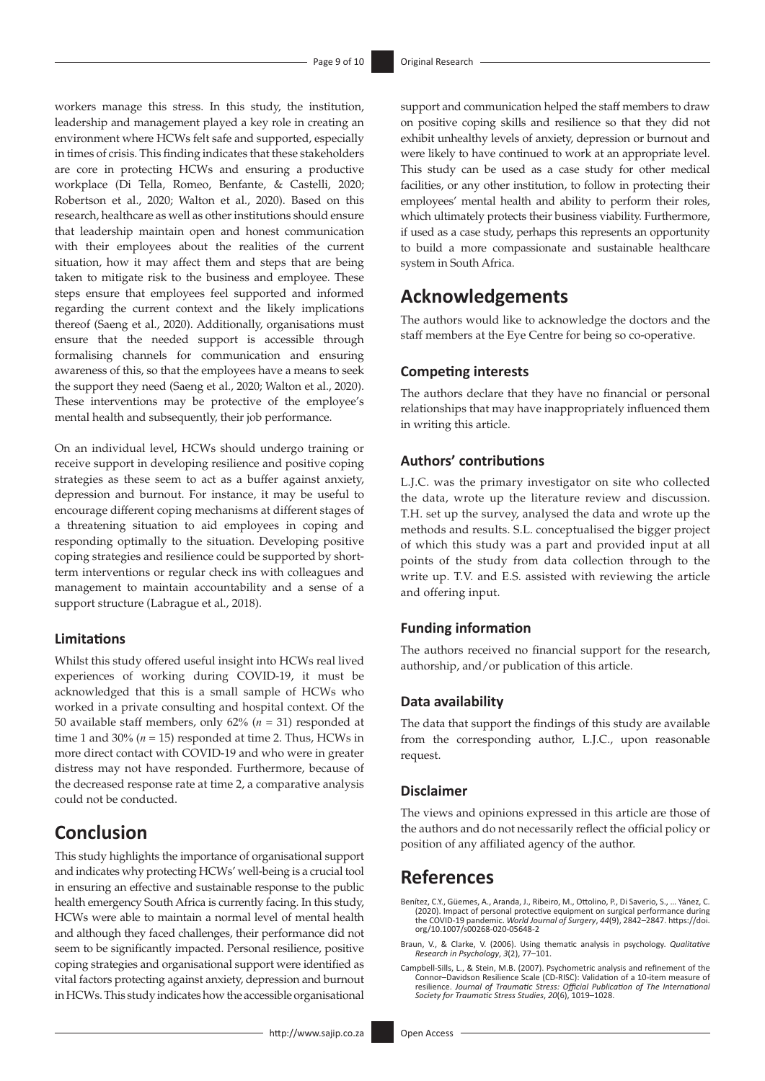workers manage this stress. In this study, the institution, leadership and management played a key role in creating an environment where HCWs felt safe and supported, especially in times of crisis. This finding indicates that these stakeholders are core in protecting HCWs and ensuring a productive workplace (Di Tella, Romeo, Benfante, & Castelli, 2020; Robertson et al., 2020; Walton et al., 2020). Based on this research, healthcare as well as other institutions should ensure that leadership maintain open and honest communication with their employees about the realities of the current situation, how it may affect them and steps that are being taken to mitigate risk to the business and employee. These steps ensure that employees feel supported and informed regarding the current context and the likely implications thereof (Saeng et al., 2020). Additionally, organisations must ensure that the needed support is accessible through formalising channels for communication and ensuring awareness of this, so that the employees have a means to seek the support they need (Saeng et al., 2020; Walton et al., 2020). These interventions may be protective of the employee's mental health and subsequently, their job performance.

On an individual level, HCWs should undergo training or receive support in developing resilience and positive coping strategies as these seem to act as a buffer against anxiety, depression and burnout. For instance, it may be useful to encourage different coping mechanisms at different stages of a threatening situation to aid employees in coping and responding optimally to the situation. Developing positive coping strategies and resilience could be supported by shortterm interventions or regular check ins with colleagues and management to maintain accountability and a sense of a support structure (Labrague et al., 2018).

## **Limitations**

Whilst this study offered useful insight into HCWs real lived experiences of working during COVID-19, it must be acknowledged that this is a small sample of HCWs who worked in a private consulting and hospital context. Of the 50 available staff members, only 62% (*n* = 31) responded at time 1 and 30%  $(n = 15)$  responded at time 2. Thus, HCWs in more direct contact with COVID-19 and who were in greater distress may not have responded. Furthermore, because of the decreased response rate at time 2, a comparative analysis could not be conducted.

# **Conclusion**

This study highlights the importance of organisational support and indicates why protecting HCWs' well-being is a crucial tool in ensuring an effective and sustainable response to the public health emergency South Africa is currently facing. In this study, HCWs were able to maintain a normal level of mental health and although they faced challenges, their performance did not seem to be significantly impacted. Personal resilience, positive coping strategies and organisational support were identified as vital factors protecting against anxiety, depression and burnout in HCWs. This study indicates how the accessible organisational

support and communication helped the staff members to draw on positive coping skills and resilience so that they did not exhibit unhealthy levels of anxiety, depression or burnout and were likely to have continued to work at an appropriate level. This study can be used as a case study for other medical facilities, or any other institution, to follow in protecting their employees' mental health and ability to perform their roles, which ultimately protects their business viability. Furthermore, if used as a case study, perhaps this represents an opportunity to build a more compassionate and sustainable healthcare system in South Africa.

# **Acknowledgements**

The authors would like to acknowledge the doctors and the staff members at the Eye Centre for being so co-operative.

## **Competing interests**

The authors declare that they have no financial or personal relationships that may have inappropriately influenced them in writing this article.

## **Authors' contributions**

L.J.C. was the primary investigator on site who collected the data, wrote up the literature review and discussion. T.H. set up the survey, analysed the data and wrote up the methods and results. S.L. conceptualised the bigger project of which this study was a part and provided input at all points of the study from data collection through to the write up. T.V. and E.S. assisted with reviewing the article and offering input.

## **Funding information**

The authors received no financial support for the research, authorship, and/or publication of this article.

### **Data availability**

The data that support the findings of this study are available from the corresponding author, L.J.C., upon reasonable request.

## **Disclaimer**

The views and opinions expressed in this article are those of the authors and do not necessarily reflect the official policy or position of any affiliated agency of the author.

# **References**

Benítez, C.Y., Güemes, A., Aranda, J., Ribeiro, M., Ottolino, P., Di Saverio, S., … Yánez, C. (2020). Impact of personal protective equipment on surgical performance during the COVID-19 pandemic. *World Journal of Surgery*, *44*(9), 2842–2847. [https://doi.](https://doi.org/10.1007/s00268-020-05648-2) [org/10.1007/s00268-020-05648-2](https://doi.org/10.1007/s00268-020-05648-2)

- Braun, V., & Clarke, V. (2006). Using thematic analysis in psychology. *Qualitative Research in Psychology*, *3*(2), 77–101.
- Campbell‐Sills, L., & Stein, M.B. (2007). Psychometric analysis and refinement of the Connor–Davidson Resilience Scale (CD‐RISC): Validation of a 10‐item measure of resilience. *Journal of Traumatic Stress: Official Publication of The International Society for Traumatic Stress Studies*, *20*(6), 1019–1028.